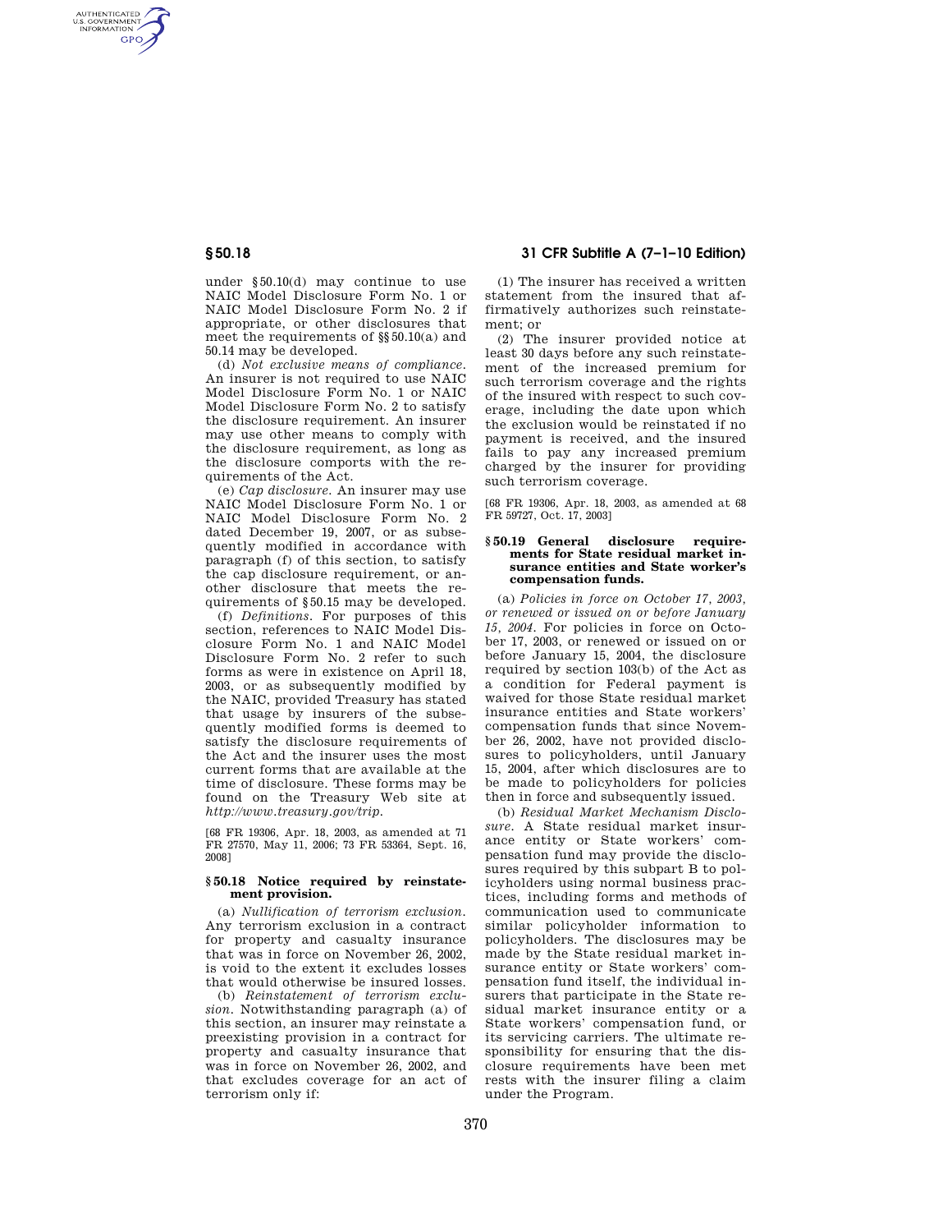AUTHENTICATED<br>U.S. GOVERNMENT<br>INFORMATION **GPO** 

> under §50.10(d) may continue to use NAIC Model Disclosure Form No. 1 or NAIC Model Disclosure Form No. 2 if appropriate, or other disclosures that meet the requirements of §§50.10(a) and 50.14 may be developed.

> (d) *Not exclusive means of compliance.*  An insurer is not required to use NAIC Model Disclosure Form No. 1 or NAIC Model Disclosure Form No. 2 to satisfy the disclosure requirement. An insurer may use other means to comply with the disclosure requirement, as long as the disclosure comports with the requirements of the Act.

> (e) *Cap disclosure.* An insurer may use NAIC Model Disclosure Form No. 1 or NAIC Model Disclosure Form No. 2 dated December 19, 2007, or as subsequently modified in accordance with paragraph (f) of this section, to satisfy the cap disclosure requirement, or another disclosure that meets the requirements of §50.15 may be developed.

> (f) *Definitions.* For purposes of this section, references to NAIC Model Disclosure Form No. 1 and NAIC Model Disclosure Form No. 2 refer to such forms as were in existence on April 18, 2003, or as subsequently modified by the NAIC, provided Treasury has stated that usage by insurers of the subsequently modified forms is deemed to satisfy the disclosure requirements of the Act and the insurer uses the most current forms that are available at the time of disclosure. These forms may be found on the Treasury Web site at *http://www.treasury.gov/trip.*

[68 FR 19306, Apr. 18, 2003, as amended at 71 FR 27570, May 11, 2006; 73 FR 53364, Sept. 16, 2008]

## **§ 50.18 Notice required by reinstatement provision.**

(a) *Nullification of terrorism exclusion.*  Any terrorism exclusion in a contract for property and casualty insurance that was in force on November 26, 2002, is void to the extent it excludes losses that would otherwise be insured losses.

(b) *Reinstatement of terrorism exclusion.* Notwithstanding paragraph (a) of this section, an insurer may reinstate a preexisting provision in a contract for property and casualty insurance that was in force on November 26, 2002, and that excludes coverage for an act of terrorism only if:

**§ 50.18 31 CFR Subtitle A (7–1–10 Edition)** 

(1) The insurer has received a written statement from the insured that affirmatively authorizes such reinstatement; or

(2) The insurer provided notice at least 30 days before any such reinstatement of the increased premium for such terrorism coverage and the rights of the insured with respect to such coverage, including the date upon which the exclusion would be reinstated if no payment is received, and the insured fails to pay any increased premium charged by the insurer for providing such terrorism coverage.

[68 FR 19306, Apr. 18, 2003, as amended at 68 FR 59727, Oct. 17, 2003]

#### **§ 50.19 General disclosure requirements for State residual market insurance entities and State worker's compensation funds.**

(a) *Policies in force on October 17, 2003, or renewed or issued on or before January 15, 2004.* For policies in force on October 17, 2003, or renewed or issued on or before January 15, 2004, the disclosure required by section 103(b) of the Act as a condition for Federal payment is waived for those State residual market insurance entities and State workers' compensation funds that since November 26, 2002, have not provided disclosures to policyholders, until January 15, 2004, after which disclosures are to be made to policyholders for policies then in force and subsequently issued.

(b) *Residual Market Mechanism Disclosure.* A State residual market insurance entity or State workers' compensation fund may provide the disclosures required by this subpart B to policyholders using normal business practices, including forms and methods of communication used to communicate similar policyholder information to policyholders. The disclosures may be made by the State residual market insurance entity or State workers' compensation fund itself, the individual insurers that participate in the State residual market insurance entity or a State workers' compensation fund, or its servicing carriers. The ultimate responsibility for ensuring that the disclosure requirements have been met rests with the insurer filing a claim under the Program.